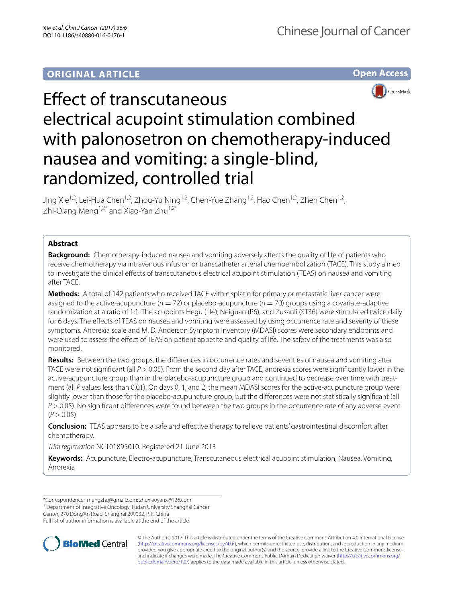# **ORIGINAL ARTICLE**





# Effect of transcutaneous electrical acupoint stimulation combined with palonosetron on chemotherapy-induced nausea and vomiting: a single-blind, randomized, controlled trial

Jing Xie<sup>1,2</sup>, Lei-Hua Chen<sup>1,2</sup>, Zhou-Yu Ning<sup>1,2</sup>, Chen-Yue Zhang<sup>1,2</sup>, Hao Chen<sup>1,2</sup>, Zhen Chen<sup>1,2</sup>, Zhi-Qiang Meng<sup>1,2\*</sup> and Xiao-Yan Zhu<sup>1,2\*</sup>

# **Abstract**

**Background:** Chemotherapy-induced nausea and vomiting adversely affects the quality of life of patients who receive chemotherapy via intravenous infusion or transcatheter arterial chemoembolization (TACE). This study aimed to investigate the clinical effects of transcutaneous electrical acupoint stimulation (TEAS) on nausea and vomiting after TACE.

**Methods:** A total of 142 patients who received TACE with cisplatin for primary or metastatic liver cancer were assigned to the active-acupuncture ( $n = 72$ ) or placebo-acupuncture ( $n = 70$ ) groups using a covariate-adaptive randomization at a ratio of 1:1. The acupoints Hegu (LI4), Neiguan (P6), and Zusanli (ST36) were stimulated twice daily for 6 days. The effects of TEAS on nausea and vomiting were assessed by using occurrence rate and severity of these symptoms. Anorexia scale and M. D. Anderson Symptom Inventory (MDASI) scores were secondary endpoints and were used to assess the effect of TEAS on patient appetite and quality of life. The safety of the treatments was also monitored.

**Results:** Between the two groups, the differences in occurrence rates and severities of nausea and vomiting after TACE were not significant (all *P* > 0.05). From the second day after TACE, anorexia scores were significantly lower in the active-acupuncture group than in the placebo-acupuncture group and continued to decrease over time with treatment (all *P* values less than 0.01). On days 0, 1, and 2, the mean MDASI scores for the active-acupuncture group were slightly lower than those for the placebo-acupuncture group, but the differences were not statistically significant (all *P* > 0.05). No significant differences were found between the two groups in the occurrence rate of any adverse event  $(P > 0.05)$ .

**Conclusion:** TEAS appears to be a safe and effective therapy to relieve patients' gastrointestinal discomfort after chemotherapy.

*Trial registration* NCT01895010. Registered 21 June 2013

**Keywords:** Acupuncture, Electro-acupuncture, Transcutaneous electrical acupoint stimulation, Nausea, Vomiting, Anorexia

Center, 270 Dong'An Road, Shanghai 200032, P. R. China

Full list of author information is available at the end of the article



© The Author(s) 2017. This article is distributed under the terms of the Creative Commons Attribution 4.0 International License [\(http://creativecommons.org/licenses/by/4.0/\)](http://creativecommons.org/licenses/by/4.0/), which permits unrestricted use, distribution, and reproduction in any medium, provided you give appropriate credit to the original author(s) and the source, provide a link to the Creative Commons license, and indicate if changes were made. The Creative Commons Public Domain Dedication waiver ([http://creativecommons.org/](http://creativecommons.org/publicdomain/zero/1.0/) [publicdomain/zero/1.0/](http://creativecommons.org/publicdomain/zero/1.0/)) applies to the data made available in this article, unless otherwise stated.

<sup>\*</sup>Correspondence: mengzhq@gmail.com; zhuxiaoyanx@126.com

<sup>&</sup>lt;sup>1</sup> Department of Integrative Oncology, Fudan University Shanghai Cancer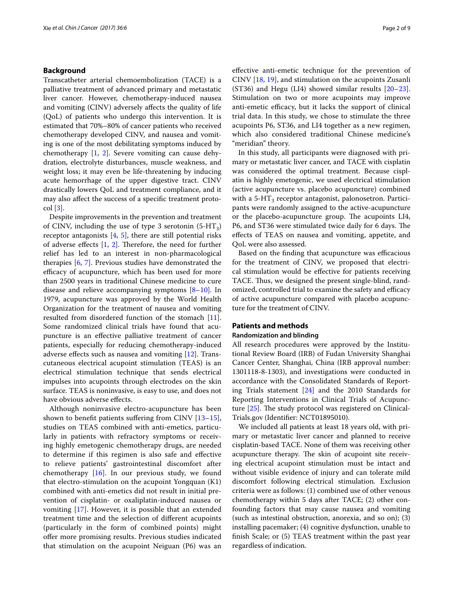# **Background**

Transcatheter arterial chemoembolization (TACE) is a palliative treatment of advanced primary and metastatic liver cancer. However, chemotherapy-induced nausea and vomiting (CINV) adversely affects the quality of life (QoL) of patients who undergo this intervention. It is estimated that 70%–80% of cancer patients who received chemotherapy developed CINV, and nausea and vomiting is one of the most debilitating symptoms induced by chemotherapy [[1,](#page-8-0) [2](#page-8-1)]. Severe vomiting can cause dehydration, electrolyte disturbances, muscle weakness, and weight loss; it may even be life-threatening by inducing acute hemorrhage of the upper digestive tract. CINV drastically lowers QoL and treatment compliance, and it may also affect the success of a specific treatment protocol [\[3](#page-8-2)].

Despite improvements in the prevention and treatment of CINV, including the use of type 3 serotonin  $(5-HT_3)$ receptor antagonists  $[4, 5]$  $[4, 5]$  $[4, 5]$  $[4, 5]$  $[4, 5]$ , there are still potential risks of adverse effects [[1,](#page-8-0) [2\]](#page-8-1). Therefore, the need for further relief has led to an interest in non-pharmacological therapies [[6,](#page-8-5) [7\]](#page-8-6). Previous studies have demonstrated the efficacy of acupuncture, which has been used for more than 2500 years in traditional Chinese medicine to cure disease and relieve accompanying symptoms  $[8-10]$  $[8-10]$ . In 1979, acupuncture was approved by the World Health Organization for the treatment of nausea and vomiting resulted from disordered function of the stomach [\[11](#page-8-9)]. Some randomized clinical trials have found that acupuncture is an effective palliative treatment of cancer patients, especially for reducing chemotherapy-induced adverse effects such as nausea and vomiting [\[12](#page-8-10)]. Transcutaneous electrical acupoint stimulation (TEAS) is an electrical stimulation technique that sends electrical impulses into acupoints through electrodes on the skin surface. TEAS is noninvasive, is easy to use, and does not have obvious adverse effects.

Although noninvasive electro-acupuncture has been shown to benefit patients suffering from CINV  $[13-15]$  $[13-15]$ , studies on TEAS combined with anti-emetics, particularly in patients with refractory symptoms or receiving highly emetogenic chemotherapy drugs, are needed to determine if this regimen is also safe and effective to relieve patients' gastrointestinal discomfort after chemotherapy [\[16](#page-8-13)]. In our previous study, we found that electro-stimulation on the acupoint Yongquan (K1) combined with anti-emetics did not result in initial prevention of cisplatin- or oxaliplatin-induced nausea or vomiting [[17\]](#page-8-14). However, it is possible that an extended treatment time and the selection of different acupoints (particularly in the form of combined points) might offer more promising results. Previous studies indicated that stimulation on the acupoint Neiguan (P6) was an effective anti-emetic technique for the prevention of CINV [\[18](#page-8-15), [19](#page-8-16)], and stimulation on the acupoints Zusanli (ST36) and Hegu (LI4) showed similar results [\[20](#page-8-17)[–23](#page-8-18)]. Stimulation on two or more acupoints may improve anti-emetic efficacy, but it lacks the support of clinical trial data. In this study, we chose to stimulate the three acupoints P6, ST36, and LI4 together as a new regimen, which also considered traditional Chinese medicine's "meridian" theory.

In this study, all participants were diagnosed with primary or metastatic liver cancer, and TACE with cisplatin was considered the optimal treatment. Because cisplatin is highly emetogenic, we used electrical stimulation (active acupuncture vs. placebo acupuncture) combined with a 5-HT<sub>3</sub> receptor antagonist, palonosetron. Participants were randomly assigned to the active-acupuncture or the placebo-acupuncture group. The acupoints LI4, P6, and ST36 were stimulated twice daily for 6 days. The effects of TEAS on nausea and vomiting, appetite, and QoL were also assessed.

Based on the finding that acupuncture was efficacious for the treatment of CINV, we proposed that electrical stimulation would be effective for patients receiving TACE. Thus, we designed the present single-blind, randomized, controlled trial to examine the safety and efficacy of active acupuncture compared with placebo acupuncture for the treatment of CINV.

# **Patients and methods**

# **Randomization and blinding**

All research procedures were approved by the Institutional Review Board (IRB) of Fudan University Shanghai Cancer Center, Shanghai, China (IRB approval number: 1301118-8-1303), and investigations were conducted in accordance with the Consolidated Standards of Reporting Trials statement [[24\]](#page-8-19) and the 2010 Standards for Reporting Interventions in Clinical Trials of Acupuncture [[25\]](#page-8-20). The study protocol was registered on Clinical-Trials.gov (Identifier: NCT01895010).

We included all patients at least 18 years old, with primary or metastatic liver cancer and planned to receive cisplatin-based TACE. None of them was receiving other acupuncture therapy. The skin of acupoint site receiving electrical acupoint stimulation must be intact and without visible evidence of injury and can tolerate mild discomfort following electrical stimulation. Exclusion criteria were as follows: (1) combined use of other venous chemotherapy within 5 days after TACE; (2) other confounding factors that may cause nausea and vomiting (such as intestinal obstruction, anorexia, and so on); (3) installing pacemaker; (4) cognitive dysfunction, unable to finish Scale; or (5) TEAS treatment within the past year regardless of indication.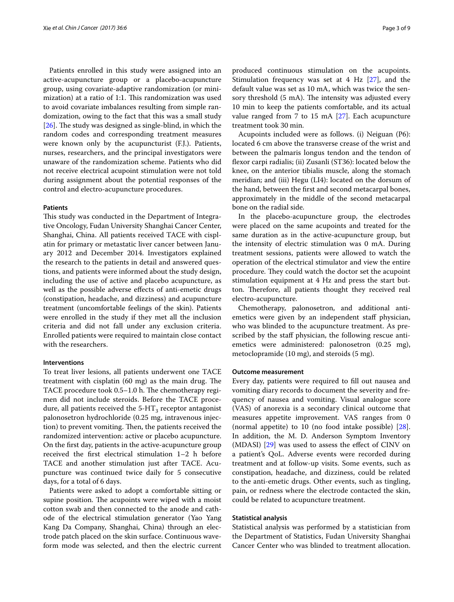Patients enrolled in this study were assigned into an active-acupuncture group or a placebo-acupuncture group, using covariate-adaptive randomization (or minimization) at a ratio of 1:1. This randomization was used to avoid covariate imbalances resulting from simple randomization, owing to the fact that this was a small study [[26\]](#page-8-21). The study was designed as single-blind, in which the random codes and corresponding treatment measures were known only by the acupuncturist (F.J.). Patients, nurses, researchers, and the principal investigators were unaware of the randomization scheme. Patients who did not receive electrical acupoint stimulation were not told during assignment about the potential responses of the control and electro-acupuncture procedures.

#### **Patients**

This study was conducted in the Department of Integrative Oncology, Fudan University Shanghai Cancer Center, Shanghai, China. All patients received TACE with cisplatin for primary or metastatic liver cancer between January 2012 and December 2014. Investigators explained the research to the patients in detail and answered questions, and patients were informed about the study design, including the use of active and placebo acupuncture, as well as the possible adverse effects of anti-emetic drugs (constipation, headache, and dizziness) and acupuncture treatment (uncomfortable feelings of the skin). Patients were enrolled in the study if they met all the inclusion criteria and did not fall under any exclusion criteria. Enrolled patients were required to maintain close contact with the researchers.

# **Interventions**

To treat liver lesions, all patients underwent one TACE treatment with cisplatin (60 mg) as the main drug. The TACE procedure took 0.5–1.0 h. The chemotherapy regimen did not include steroids. Before the TACE procedure, all patients received the  $5-HT_3$  receptor antagonist palonosetron hydrochloride (0.25 mg, intravenous injection) to prevent vomiting. Then, the patients received the randomized intervention: active or placebo acupuncture. On the first day, patients in the active-acupuncture group received the first electrical stimulation 1–2 h before TACE and another stimulation just after TACE. Acupuncture was continued twice daily for 5 consecutive days, for a total of 6 days.

Patients were asked to adopt a comfortable sitting or supine position. The acupoints were wiped with a moist cotton swab and then connected to the anode and cathode of the electrical stimulation generator (Yao Yang Kang Da Company, Shanghai, China) through an electrode patch placed on the skin surface. Continuous waveform mode was selected, and then the electric current produced continuous stimulation on the acupoints. Stimulation frequency was set at 4 Hz [[27](#page-8-22)], and the default value was set as 10 mA, which was twice the sensory threshold (5 mA). The intensity was adjusted every 10 min to keep the patients comfortable, and its actual value ranged from 7 to 15 mA  $[27]$  $[27]$ . Each acupuncture treatment took 30 min.

Acupoints included were as follows. (i) Neiguan (P6): located 6 cm above the transverse crease of the wrist and between the palmaris longus tendon and the tendon of flexor carpi radialis; (ii) Zusanli (ST36): located below the knee, on the anterior tibialis muscle, along the stomach meridian; and (iii) Hegu (LI4): located on the dorsum of the hand, between the first and second metacarpal bones, approximately in the middle of the second metacarpal bone on the radial side.

In the placebo-acupuncture group, the electrodes were placed on the same acupoints and treated for the same duration as in the active-acupuncture group, but the intensity of electric stimulation was 0 mA. During treatment sessions, patients were allowed to watch the operation of the electrical stimulator and view the entire procedure. They could watch the doctor set the acupoint stimulation equipment at 4 Hz and press the start button. Therefore, all patients thought they received real electro-acupuncture.

Chemotherapy, palonosetron, and additional antiemetics were given by an independent staff physician, who was blinded to the acupuncture treatment. As prescribed by the staff physician, the following rescue antiemetics were administered: palonosetron (0.25 mg), metoclopramide (10 mg), and steroids (5 mg).

#### **Outcome measurement**

Every day, patients were required to fill out nausea and vomiting diary records to document the severity and frequency of nausea and vomiting. Visual analogue score (VAS) of anorexia is a secondary clinical outcome that measures appetite improvement. VAS ranges from 0 (normal appetite) to 10 (no food intake possible) [\[28](#page-8-23)]. In addition, the M. D. Anderson Symptom Inventory (MDASI) [\[29](#page-8-24)] was used to assess the effect of CINV on a patient's QoL. Adverse events were recorded during treatment and at follow-up visits. Some events, such as constipation, headache, and dizziness, could be related to the anti-emetic drugs. Other events, such as tingling, pain, or redness where the electrode contacted the skin, could be related to acupuncture treatment.

## **Statistical analysis**

Statistical analysis was performed by a statistician from the Department of Statistics, Fudan University Shanghai Cancer Center who was blinded to treatment allocation.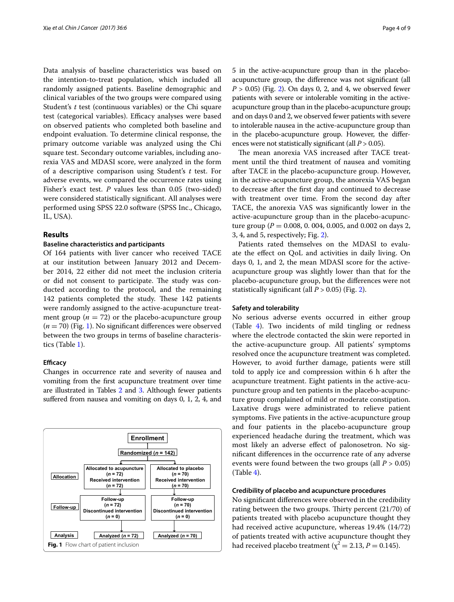Data analysis of baseline characteristics was based on the intention-to-treat population, which included all randomly assigned patients. Baseline demographic and clinical variables of the two groups were compared using Student's *t* test (continuous variables) or the Chi square test (categorical variables). Efficacy analyses were based on observed patients who completed both baseline and endpoint evaluation. To determine clinical response, the primary outcome variable was analyzed using the Chi square test. Secondary outcome variables, including anorexia VAS and MDASI score, were analyzed in the form of a descriptive comparison using Student's *t* test. For adverse events, we compared the occurrence rates using Fisher's exact test. *P* values less than 0.05 (two-sided) were considered statistically significant. All analyses were performed using SPSS 22.0 software (SPSS Inc., Chicago, IL, USA).

# **Results**

#### **Baseline characteristics and participants**

Of 164 patients with liver cancer who received TACE at our institution between January 2012 and December 2014, 22 either did not meet the inclusion criteria or did not consent to participate. The study was conducted according to the protocol, and the remaining 142 patients completed the study. These 142 patients were randomly assigned to the active-acupuncture treatment group ( $n = 72$ ) or the placebo-acupuncture group (*n* = 70) (Fig. [1\)](#page-3-0). No significant differences were observed between the two groups in terms of baseline characteristics (Table [1](#page-4-0)).

# **Efficacy**

Changes in occurrence rate and severity of nausea and vomiting from the first acupuncture treatment over time are illustrated in Tables [2](#page-5-0) and [3.](#page-6-0) Although fewer patients suffered from nausea and vomiting on days 0, 1, 2, 4, and

<span id="page-3-0"></span>

5 in the active-acupuncture group than in the placeboacupuncture group, the difference was not significant (all *P* > 0.05) (Fig. [2\)](#page-7-0). On days 0, 2, and 4, we observed fewer patients with severe or intolerable vomiting in the activeacupuncture group than in the placebo-acupuncture group; and on days 0 and 2, we observed fewer patients with severe to intolerable nausea in the active-acupuncture group than in the placebo-acupuncture group. However, the differences were not statistically significant (all *P* > 0.05).

The mean anorexia VAS increased after TACE treatment until the third treatment of nausea and vomiting after TACE in the placebo-acupuncture group. However, in the active-acupuncture group, the anorexia VAS began to decrease after the first day and continued to decrease with treatment over time. From the second day after TACE, the anorexia VAS was significantly lower in the active-acupuncture group than in the placebo-acupuncture group ( $P = 0.008$ , 0.004, 0.005, and 0.002 on days 2, 3, 4, and 5, respectively; Fig. [2\)](#page-7-0).

Patients rated themselves on the MDASI to evaluate the effect on QoL and activities in daily living. On days 0, 1, and 2, the mean MDASI score for the activeacupuncture group was slightly lower than that for the placebo-acupuncture group, but the differences were not statistically significant (all  $P > 0.05$ ) (Fig. [2\)](#page-7-0).

#### **Safety and tolerability**

No serious adverse events occurred in either group (Table [4\)](#page-7-1). Two incidents of mild tingling or redness where the electrode contacted the skin were reported in the active-acupuncture group. All patients' symptoms resolved once the acupuncture treatment was completed. However, to avoid further damage, patients were still told to apply ice and compression within 6 h after the acupuncture treatment. Eight patients in the active-acupuncture group and ten patients in the placebo-acupuncture group complained of mild or moderate constipation. Laxative drugs were administrated to relieve patient symptoms. Five patients in the active-acupuncture group and four patients in the placebo-acupuncture group experienced headache during the treatment, which was most likely an adverse effect of palonosetron. No significant differences in the occurrence rate of any adverse events were found between the two groups (all *P* > 0.05) (Table [4\)](#page-7-1).

# **Credibility of placebo and acupuncture procedures**

No significant differences were observed in the credibility rating between the two groups. Thirty percent (21/70) of patients treated with placebo acupuncture thought they had received active acupuncture, whereas 19.4% (14/72) of patients treated with active acupuncture thought they had received placebo treatment ( $\chi^2$  = 2.13, *P* = 0.145).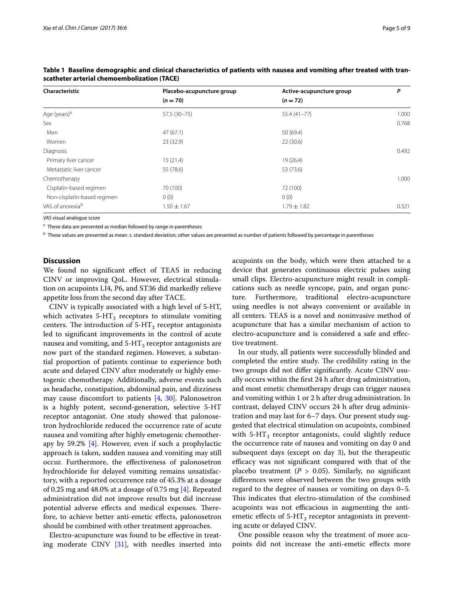| Characteristic               | Placebo-acupuncture group | Active-acupuncture group | P     |
|------------------------------|---------------------------|--------------------------|-------|
|                              | $(n = 70)$                | $(n = 72)$               |       |
| Age (years) <sup>a</sup>     | 57.5 (30-75)              | $55.4(41-77)$            | 1.000 |
| Sex                          |                           |                          | 0.768 |
| Men                          | 47(67.1)                  | 50 (69.4)                |       |
| Women                        | 23 (32.9)                 | 22(30.6)                 |       |
| <b>Diagnosis</b>             |                           |                          | 0.492 |
| Primary liver cancer         | 15(21.4)                  | 19 (26.4)                |       |
| Metastatic liver cancer      | 55 (78.6)                 | 53 (73.6)                |       |
| Chemotherapy                 |                           |                          | 1.000 |
| Cisplatin-based regimen      | 70 (100)                  | 72 (100)                 |       |
| Non-cisplatin-based regimen  | 0(0)                      | 0(0)                     |       |
| VAS of anorexia <sup>b</sup> | $1.50 \pm 1.67$           | $1.79 \pm 1.82$          | 0.321 |

<span id="page-4-0"></span>**Table 1 Baseline demographic and clinical characteristics of patients with nausea and vomiting after treated with transcatheter arterial chemoembolization (TACE)**

*VAS* visual analogue score

<sup>a</sup> These data are presented as median followed by range in parentheses

 $b$  These values are presented as mean  $\pm$  standard deviation; other values are presented as number of patients followed by percentage in parentheses

# **Discussion**

We found no significant effect of TEAS in reducing CINV or improving QoL. However, electrical stimulation on acupoints LI4, P6, and ST36 did markedly relieve appetite loss from the second day after TACE.

CINV is typically associated with a high level of 5-HT, which activates  $5-HT<sub>3</sub>$  receptors to stimulate vomiting centers. The introduction of  $5-HT_3$  receptor antagonists led to significant improvements in the control of acute nausea and vomiting, and  $5-HT_3$  receptor antagonists are now part of the standard regimen. However, a substantial proportion of patients continue to experience both acute and delayed CINV after moderately or highly emetogenic chemotherapy. Additionally, adverse events such as headache, constipation, abdominal pain, and dizziness may cause discomfort to patients [[4,](#page-8-3) [30\]](#page-8-25). Palonosetron is a highly potent, second-generation, selective 5-HT receptor antagonist. One study showed that palonosetron hydrochloride reduced the occurrence rate of acute nausea and vomiting after highly emetogenic chemotherapy by 59.2% [\[4](#page-8-3)]. However, even if such a prophylactic approach is taken, sudden nausea and vomiting may still occur. Furthermore, the effectiveness of palonosetron hydrochloride for delayed vomiting remains unsatisfactory, with a reported occurrence rate of 45.3% at a dosage of 0.25 mg and 48.0% at a dosage of 0.75 mg [[4\]](#page-8-3). Repeated administration did not improve results but did increase potential adverse effects and medical expenses. Therefore, to achieve better anti-emetic effects, palonosetron should be combined with other treatment approaches.

Electro-acupuncture was found to be effective in treating moderate CINV [[31](#page-8-26)], with needles inserted into acupoints on the body, which were then attached to a device that generates continuous electric pulses using small clips. Electro-acupuncture might result in complications such as needle syncope, pain, and organ puncture. Furthermore, traditional electro-acupuncture using needles is not always convenient or available in all centers. TEAS is a novel and noninvasive method of acupuncture that has a similar mechanism of action to electro-acupuncture and is considered a safe and effective treatment.

In our study, all patients were successfully blinded and completed the entire study. The credibility rating in the two groups did not differ significantly. Acute CINV usually occurs within the first 24 h after drug administration, and most emetic chemotherapy drugs can trigger nausea and vomiting within 1 or 2 h after drug administration. In contrast, delayed CINV occurs 24 h after drug administration and may last for 6–7 days. Our present study suggested that electrical stimulation on acupoints, combined with  $5-HT<sub>3</sub>$  receptor antagonists, could slightly reduce the occurrence rate of nausea and vomiting on day 0 and subsequent days (except on day 3), but the therapeutic efficacy was not significant compared with that of the placebo treatment  $(P > 0.05)$ . Similarly, no significant differences were observed between the two groups with regard to the degree of nausea or vomiting on days 0–5. This indicates that electro-stimulation of the combined acupoints was not efficacious in augmenting the antiemetic effects of  $5-HT_3$  receptor antagonists in preventing acute or delayed CINV.

One possible reason why the treatment of more acupoints did not increase the anti-emetic effects more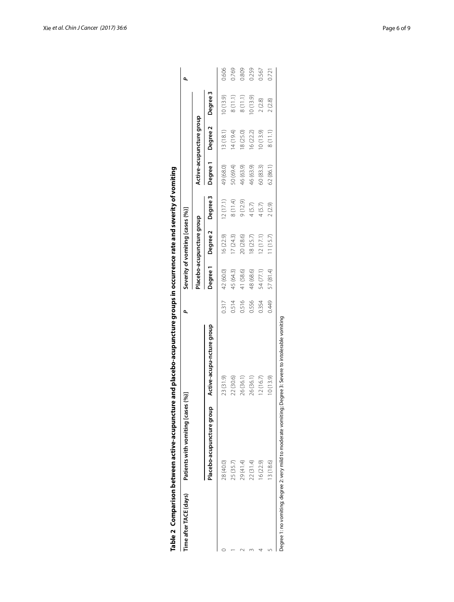<span id="page-5-0"></span>

| 23 (31.9)<br>22 (30.6)<br>26 (36.1)<br>Placebo-acupuncture group<br>29 (41.4)<br>28 (40.0)<br>25 (35.7) | Active-acupu-ncture group |       |           | Severity of vomiting [cases (%)] |          |           |                          |          | ۵     |
|---------------------------------------------------------------------------------------------------------|---------------------------|-------|-----------|----------------------------------|----------|-----------|--------------------------|----------|-------|
|                                                                                                         |                           |       |           | Placebo-acupuncture group        |          |           | Active-acupuncture group |          |       |
|                                                                                                         |                           |       | Degree 1  | Degree 2                         | Degree 3 | Degree 1  | Degree 2                 | Degree 3 |       |
|                                                                                                         |                           | 0.317 | 42 (60.0) | 16 (22.9)                        | 12(17.1) | 49 (68.0) | 13(18.1)                 | 10(13.9) | 0.606 |
|                                                                                                         |                           | 0.514 | 45 (64.3) | 17(24.3)                         | 8(11.4)  | 50 (69.4) | 14 (19.4)                | 8(11.1)  | 0.769 |
|                                                                                                         |                           | 0.516 | 41 (58.6) | 20 (28.6)                        | 9(12.9)  | 46 (63.9) | 18(25.0)                 | 8(11.1)  | 0.809 |
| 26 (36.1)<br>22 (31.4)                                                                                  |                           | 0.556 | 48 (68.6) | 18 (25.7)                        | 4(5.7)   | 46 (63.9) | 16 (22.2)                | 0(13.9)  | 0.259 |
| 12(16.7)<br>16(22.9)                                                                                    |                           | 0.354 | 54 (77.1) | 12(17.1)                         | 4(5.7)   | 60 (83.3) | 10(13.9)                 | 2(2.8)   | 0.567 |
| 10(13.9)<br>13 (18.6)                                                                                   |                           | 0.449 | 57 (81.4) | 11(15.7)                         | 2(2.9)   | 62 (86.1) | 8(11.1)                  | 2(2.8)   | 0.721 |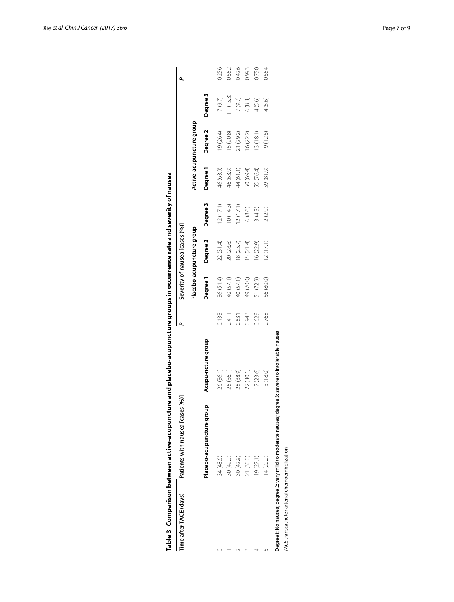| Time after TACE (days) | Patients with nausea [cases (%)] |                    | ۵     |           | Severity of nausea [cases (%)] |          |           |                          |          | ٩     |
|------------------------|----------------------------------|--------------------|-------|-----------|--------------------------------|----------|-----------|--------------------------|----------|-------|
|                        |                                  |                    |       |           | Placebo-acupuncture group      |          |           | Active-acupuncture group |          |       |
|                        | Placebo-acupuncture group        | Acupu-ncture group |       | Degree 1  | Degree 2                       | Degree 3 | Degree 1  | Degree 2                 | Degree 3 |       |
|                        | 34 (48.6)                        | 26 (36.1           | 0.133 | 36 (51.4) | 22(31.4)                       | 12(17.1) | 46 (63.9) | 19 (26.4)                | 7(9.7)   | 0.256 |
|                        | 30 (42.9)                        | 26 (36.1)          | 0.411 | 40 (57.1) | 20 (28.6)                      | 10(14.3) | 46 (63.9) | 15 (20.8)                | 1(15.3)  | 0.562 |
|                        | 30 (42.9)                        | 28 (38.9)          | 0.631 | 40 (57.1) | 18 (25.7)                      | 2(17.1)  | 44 (61.1) | 21 (29.2)                | 7(9.7)   | 0.426 |
|                        | 21 (30.0)                        | 22 (30.1)          | 0.943 | 49 (70.0) | 15(21.4)                       | 6(8.6)   | 50 (69.4) | 16 (22.2)                | 6(8.3)   | 0.993 |
|                        | 19(27.1)                         | 17(23.6)           | 0.629 | 51 (72.9) | 16(22.9)                       | 3(4.3)   | 55 (76.4) | 3(18.1)                  | 4(5.6)   | 0.750 |
|                        | 14(20.0)                         | 13 (18.0)          | 0.768 | 56 (80.0) | 12(17.1)                       | 2(2.9)   | 59 (81.9) | 9(12.5)                  | 4(5.6)   | 0.564 |

<span id="page-6-0"></span>

| ֖֚֚֚֬                                                                                                               |  |
|---------------------------------------------------------------------------------------------------------------------|--|
|                                                                                                                     |  |
|                                                                                                                     |  |
| ׇ֚֬֡                                                                                                                |  |
|                                                                                                                     |  |
|                                                                                                                     |  |
|                                                                                                                     |  |
|                                                                                                                     |  |
|                                                                                                                     |  |
|                                                                                                                     |  |
| ֚֚֞                                                                                                                 |  |
|                                                                                                                     |  |
| ֖֚֚֚֬                                                                                                               |  |
|                                                                                                                     |  |
|                                                                                                                     |  |
|                                                                                                                     |  |
|                                                                                                                     |  |
|                                                                                                                     |  |
|                                                                                                                     |  |
|                                                                                                                     |  |
|                                                                                                                     |  |
|                                                                                                                     |  |
|                                                                                                                     |  |
|                                                                                                                     |  |
|                                                                                                                     |  |
|                                                                                                                     |  |
|                                                                                                                     |  |
| ֚֚֚֬                                                                                                                |  |
|                                                                                                                     |  |
|                                                                                                                     |  |
|                                                                                                                     |  |
|                                                                                                                     |  |
|                                                                                                                     |  |
|                                                                                                                     |  |
|                                                                                                                     |  |
|                                                                                                                     |  |
|                                                                                                                     |  |
| ֖֚֚֚֬                                                                                                               |  |
|                                                                                                                     |  |
|                                                                                                                     |  |
|                                                                                                                     |  |
|                                                                                                                     |  |
|                                                                                                                     |  |
|                                                                                                                     |  |
|                                                                                                                     |  |
|                                                                                                                     |  |
|                                                                                                                     |  |
|                                                                                                                     |  |
|                                                                                                                     |  |
|                                                                                                                     |  |
|                                                                                                                     |  |
|                                                                                                                     |  |
|                                                                                                                     |  |
|                                                                                                                     |  |
|                                                                                                                     |  |
|                                                                                                                     |  |
|                                                                                                                     |  |
|                                                                                                                     |  |
|                                                                                                                     |  |
|                                                                                                                     |  |
|                                                                                                                     |  |
| ֪ׅ֡֬֝֬֝֬֝֬֝֬֝֬֝֬֝                                                                                                   |  |
|                                                                                                                     |  |
|                                                                                                                     |  |
|                                                                                                                     |  |
| a de la componenta de la componenta de la componenta de la componenta de la componenta de la componenta de la compo |  |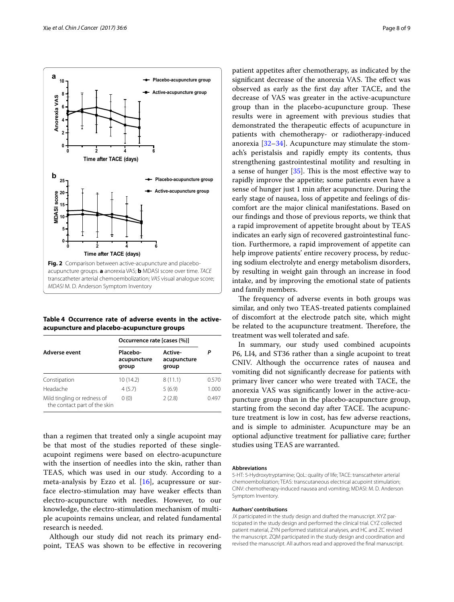

<span id="page-7-1"></span><span id="page-7-0"></span>**Table 4 Occurrence rate of adverse events in the activeacupuncture and placebo-acupuncture groups**

|                                                             | Occurrence rate [cases (%)]      |                                 |       |
|-------------------------------------------------------------|----------------------------------|---------------------------------|-------|
| Adverse event                                               | Placebo-<br>acupuncture<br>group | Active-<br>acupuncture<br>group |       |
| Constipation                                                | 10 (14.2)                        | 8(11.1)                         | 0.570 |
| Headache                                                    | 4(5.7)                           | 5(6.9)                          | 1.000 |
| Mild tingling or redness of<br>the contact part of the skin | 0(0)                             | 2(2.8)                          | 0.497 |

than a regimen that treated only a single acupoint may be that most of the studies reported of these singleacupoint regimens were based on electro-acupuncture with the insertion of needles into the skin, rather than TEAS, which was used in our study. According to a meta-analysis by Ezzo et al. [\[16](#page-8-13)], acupressure or surface electro-stimulation may have weaker effects than electro-acupuncture with needles. However, to our knowledge, the electro-stimulation mechanism of multiple acupoints remains unclear, and related fundamental research is needed.

Although our study did not reach its primary endpoint, TEAS was shown to be effective in recovering patient appetites after chemotherapy, as indicated by the significant decrease of the anorexia VAS. The effect was observed as early as the first day after TACE, and the decrease of VAS was greater in the active-acupuncture group than in the placebo-acupuncture group. These results were in agreement with previous studies that demonstrated the therapeutic effects of acupuncture in patients with chemotherapy- or radiotherapy-induced anorexia  $[32-34]$  $[32-34]$ . Acupuncture may stimulate the stomach's peristalsis and rapidly empty its contents, thus strengthening gastrointestinal motility and resulting in a sense of hunger [[35](#page-8-29)]. This is the most effective way to rapidly improve the appetite; some patients even have a sense of hunger just 1 min after acupuncture. During the early stage of nausea, loss of appetite and feelings of discomfort are the major clinical manifestations. Based on our findings and those of previous reports, we think that a rapid improvement of appetite brought about by TEAS indicates an early sign of recovered gastrointestinal function. Furthermore, a rapid improvement of appetite can help improve patients' entire recovery process, by reducing sodium electrolyte and energy metabolism disorders, by resulting in weight gain through an increase in food intake, and by improving the emotional state of patients and family members.

The frequency of adverse events in both groups was similar, and only two TEAS-treated patients complained of discomfort at the electrode patch site, which might be related to the acupuncture treatment. Therefore, the treatment was well tolerated and safe.

In summary, our study used combined acupoints P6, LI4, and ST36 rather than a single acupoint to treat CNIV. Although the occurrence rates of nausea and vomiting did not significantly decrease for patients with primary liver cancer who were treated with TACE, the anorexia VAS was significantly lower in the active-acupuncture group than in the placebo-acupuncture group, starting from the second day after TACE. The acupuncture treatment is low in cost, has few adverse reactions, and is simple to administer. Acupuncture may be an optional adjunctive treatment for palliative care; further studies using TEAS are warranted.

#### **Abbreviations**

5-HT: 5-Hydroxytryptamine; QoL: quality of life; TACE: transcatheter arterial chemoembolization; TEAS: transcutaneous electrical acupoint stimulation; CINV: chemotherapy-induced nausea and vomiting; MDASI: M. D. Anderson Symptom Inventory.

#### **Authors' contributions**

JX participated in the study design and drafted the manuscript. XYZ participated in the study design and performed the clinical trial. CYZ collected patient material, ZYN performed statistical analyses, and HC and ZC revised the manuscript. ZQM participated in the study design and coordination and revised the manuscript. All authors read and approved the final manuscript.